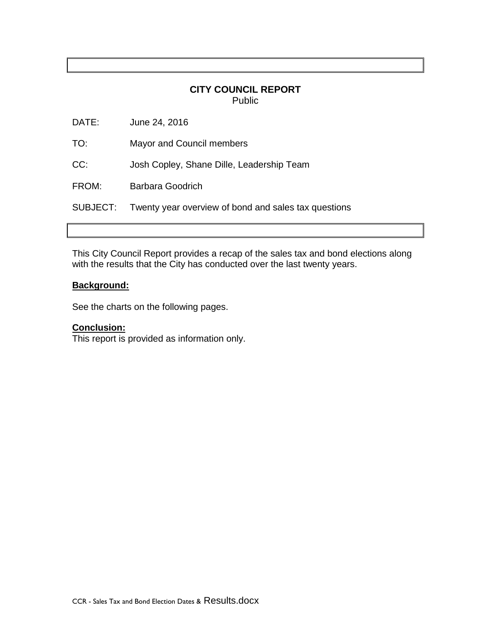## **CITY COUNCIL REPORT** Public

| SUBJECT: | Twenty year overview of bond and sales tax questions |
|----------|------------------------------------------------------|
| FROM:    | Barbara Goodrich                                     |
| CC:      | Josh Copley, Shane Dille, Leadership Team            |
| TO:      | Mayor and Council members                            |
| DATE:    | June 24, 2016                                        |

This City Council Report provides a recap of the sales tax and bond elections along with the results that the City has conducted over the last twenty years.

## **Background:**

See the charts on the following pages.

## **Conclusion:**

This report is provided as information only.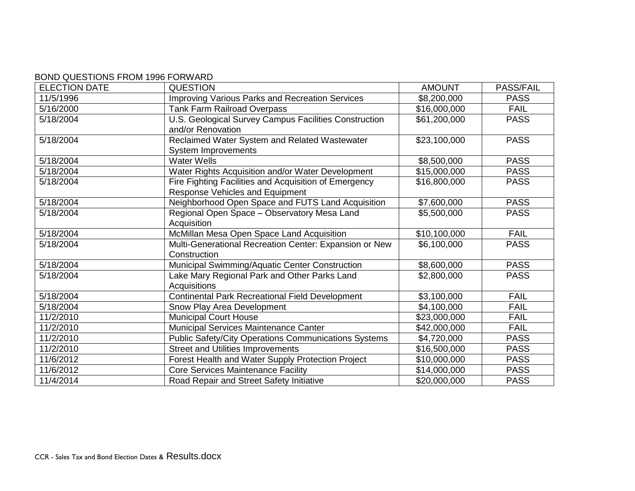## BOND QUESTIONS FROM 1996 FORWARD

| <b>ELECTION DATE</b> | <b>QUESTION</b>                                             | <b>AMOUNT</b> | <b>PASS/FAIL</b> |
|----------------------|-------------------------------------------------------------|---------------|------------------|
| 11/5/1996            | Improving Various Parks and Recreation Services             | \$8,200,000   | <b>PASS</b>      |
| 5/16/2000            | <b>Tank Farm Railroad Overpass</b>                          | \$16,000,000  | <b>FAIL</b>      |
| 5/18/2004            | U.S. Geological Survey Campus Facilities Construction       | \$61,200,000  | <b>PASS</b>      |
|                      | and/or Renovation                                           |               |                  |
| 5/18/2004            | Reclaimed Water System and Related Wastewater               | \$23,100,000  | <b>PASS</b>      |
|                      | <b>System Improvements</b>                                  |               |                  |
| 5/18/2004            | <b>Water Wells</b>                                          | \$8,500,000   | <b>PASS</b>      |
| 5/18/2004            | Water Rights Acquisition and/or Water Development           | \$15,000,000  | <b>PASS</b>      |
| 5/18/2004            | Fire Fighting Facilities and Acquisition of Emergency       | \$16,800,000  | <b>PASS</b>      |
|                      | Response Vehicles and Equipment                             |               |                  |
| 5/18/2004            | Neighborhood Open Space and FUTS Land Acquisition           | \$7,600,000   | <b>PASS</b>      |
| 5/18/2004            | Regional Open Space - Observatory Mesa Land                 | \$5,500,000   | <b>PASS</b>      |
|                      | Acquisition                                                 |               |                  |
| 5/18/2004            | McMillan Mesa Open Space Land Acquisition                   | \$10,100,000  | <b>FAIL</b>      |
| 5/18/2004            | Multi-Generational Recreation Center: Expansion or New      | \$6,100,000   | <b>PASS</b>      |
|                      | Construction                                                |               |                  |
| 5/18/2004            | Municipal Swimming/Aquatic Center Construction              | \$8,600,000   | <b>PASS</b>      |
| 5/18/2004            | Lake Mary Regional Park and Other Parks Land                | \$2,800,000   | <b>PASS</b>      |
|                      | Acquisitions                                                |               |                  |
| 5/18/2004            | <b>Continental Park Recreational Field Development</b>      | \$3,100,000   | <b>FAIL</b>      |
| 5/18/2004            | Snow Play Area Development                                  | \$4,100,000   | <b>FAIL</b>      |
| 11/2/2010            | <b>Municipal Court House</b>                                | \$23,000,000  | <b>FAIL</b>      |
| 11/2/2010            | Municipal Services Maintenance Canter                       | \$42,000,000  | <b>FAIL</b>      |
| 11/2/2010            | <b>Public Safety/City Operations Communications Systems</b> | \$4,720,000   | <b>PASS</b>      |
| 11/2/2010            | <b>Street and Utilities Improvements</b>                    | \$16,500,000  | <b>PASS</b>      |
| 11/6/2012            | Forest Health and Water Supply Protection Project           | \$10,000,000  | <b>PASS</b>      |
| 11/6/2012            | <b>Core Services Maintenance Facility</b>                   | \$14,000,000  | <b>PASS</b>      |
| 11/4/2014            | Road Repair and Street Safety Initiative                    | \$20,000,000  | <b>PASS</b>      |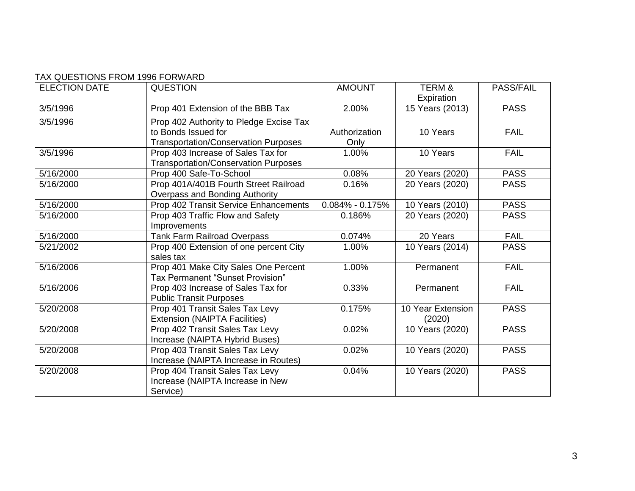| <b>ELECTION DATE</b> | <b>QUESTION</b>                             | <b>AMOUNT</b>       | <b>TERM &amp;</b> | <b>PASS/FAIL</b> |
|----------------------|---------------------------------------------|---------------------|-------------------|------------------|
|                      |                                             |                     | Expiration        |                  |
| 3/5/1996             | Prop 401 Extension of the BBB Tax           | 2.00%               | 15 Years (2013)   | <b>PASS</b>      |
| 3/5/1996             | Prop 402 Authority to Pledge Excise Tax     |                     |                   |                  |
|                      | to Bonds Issued for                         | Authorization       | 10 Years          | <b>FAIL</b>      |
|                      | <b>Transportation/Conservation Purposes</b> | Only                |                   |                  |
| 3/5/1996             | Prop 403 Increase of Sales Tax for          | 1.00%               | 10 Years          | <b>FAIL</b>      |
|                      | <b>Transportation/Conservation Purposes</b> |                     |                   |                  |
| 5/16/2000            | Prop 400 Safe-To-School                     | 0.08%               | 20 Years (2020)   | <b>PASS</b>      |
| 5/16/2000            | Prop 401A/401B Fourth Street Railroad       | 0.16%               | 20 Years (2020)   | <b>PASS</b>      |
|                      | Overpass and Bonding Authority              |                     |                   |                  |
| 5/16/2000            | Prop 402 Transit Service Enhancements       | $0.084\% - 0.175\%$ | 10 Years (2010)   | <b>PASS</b>      |
| 5/16/2000            | Prop 403 Traffic Flow and Safety            | 0.186%              | 20 Years (2020)   | <b>PASS</b>      |
|                      | Improvements                                |                     |                   |                  |
| 5/16/2000            | <b>Tank Farm Railroad Overpass</b>          | 0.074%              | 20 Years          | <b>FAIL</b>      |
| 5/21/2002            | Prop 400 Extension of one percent City      | 1.00%               | 10 Years (2014)   | <b>PASS</b>      |
|                      | sales tax                                   |                     |                   |                  |
| 5/16/2006            | Prop 401 Make City Sales One Percent        | 1.00%               | Permanent         | <b>FAIL</b>      |
|                      | Tax Permanent "Sunset Provision"            |                     |                   |                  |
| 5/16/2006            | Prop 403 Increase of Sales Tax for          | 0.33%               | Permanent         | <b>FAIL</b>      |
|                      | <b>Public Transit Purposes</b>              |                     |                   |                  |
| 5/20/2008            | Prop 401 Transit Sales Tax Levy             | 0.175%              | 10 Year Extension | <b>PASS</b>      |
|                      | Extension (NAIPTA Facilities)               |                     | (2020)            |                  |
| 5/20/2008            | Prop 402 Transit Sales Tax Levy             | 0.02%               | 10 Years (2020)   | <b>PASS</b>      |
|                      | Increase (NAIPTA Hybrid Buses)              |                     |                   |                  |
| 5/20/2008            | Prop 403 Transit Sales Tax Levy             | 0.02%               | 10 Years (2020)   | <b>PASS</b>      |
|                      | Increase (NAIPTA Increase in Routes)        |                     |                   |                  |
| 5/20/2008            | Prop 404 Transit Sales Tax Levy             | 0.04%               | 10 Years (2020)   | <b>PASS</b>      |
|                      | Increase (NAIPTA Increase in New            |                     |                   |                  |
|                      | Service)                                    |                     |                   |                  |